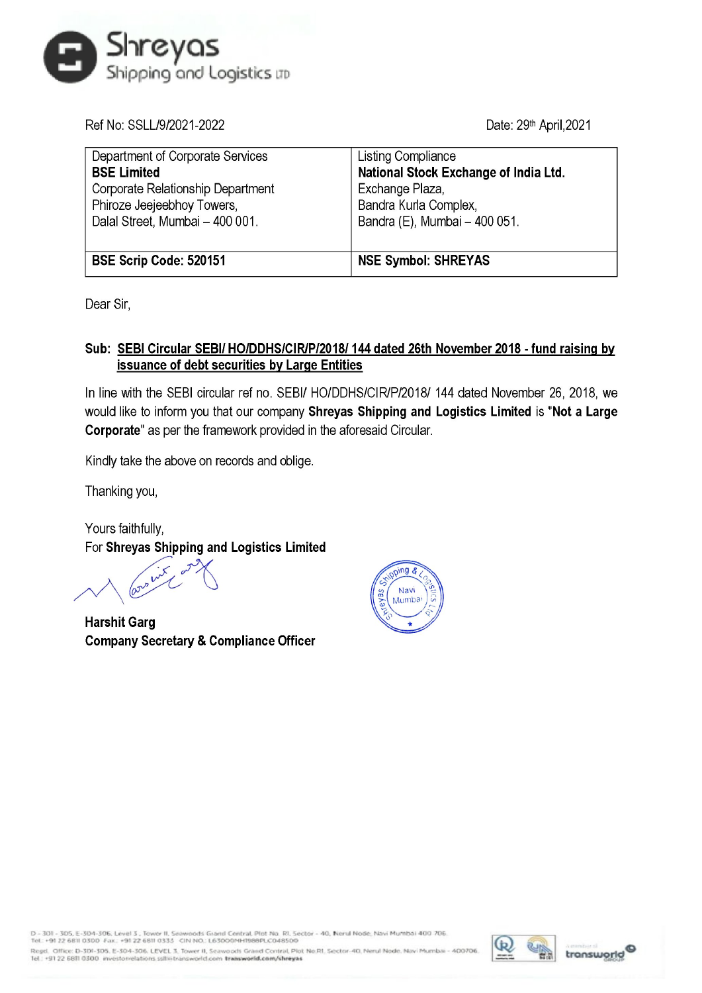

| Shreyas<br>Shipping and Logistics up                                                                                                                         |                                                                                                                                          |
|--------------------------------------------------------------------------------------------------------------------------------------------------------------|------------------------------------------------------------------------------------------------------------------------------------------|
| Ref No: SSLL/9/2021-2022                                                                                                                                     | Date: 29 <sup>th</sup> April, 2021                                                                                                       |
| Department of Corporate Services<br><b>BSE Limited</b><br>Corporate Relationship Department<br>Phiroze Jeejeebhoy Towers,<br>Dalal Street, Mumbai - 400 001. | Listing Compliance<br>National Stock Exchange of India Ltd.<br>Exchange Plaza,<br>Bandra Kurla Complex,<br>Bandra (E), Mumbai - 400 051. |
| BSE Scrip Code: 520151                                                                                                                                       | <b>NSE Symbol: SHREYAS</b>                                                                                                               |

Dear Sir,

## Sub: SEBI Circular SEBI/ HO/DDHS/CIR/P/2018/ 144 dated 26th November 2018 - fund raising by issuance of debt securities by Large Entities

In line with the SEBI circular ref no. SEBI/ HO/DDHS/CIR/P/2018/ 144 dated November 26, 2018, we would like to inform you that our company Shreyas Shipping and Logistics Limited is "Not a Large Corporate" as per the framework provided in the aforesaid Circular.

Kindly take the above on records and oblige.

Thanking you,

Yours faithfully, For Shreyas Shipping and Logistics Limited

hit 22  $V \setminus V$ 

Harshit Garg Company Secretary & Compliance Officer



D - 301 - 305, E-304-306, Level 3 , Tower II, Seawoods Giand Central, Plot No. RI, Sector - 40, Nerul No<br>Tel. +91 22 6811 0300 Fax. +91 22 6811 0333 CIN NO.: L63000MH1988PLC048500

transmitter Marin Marmbai - 400706.<br>International Southern Southern Southern Southern Stransworld Regel. Office: D-301-305. E-304-306. LEVEL 3, Tower II, Seawoods Grand Central, Plot No.RI, Sector-40, I<br>Tel.: +91 22 6811 0300 investorrelations ssilki transworld.com transworld.com/shreyas